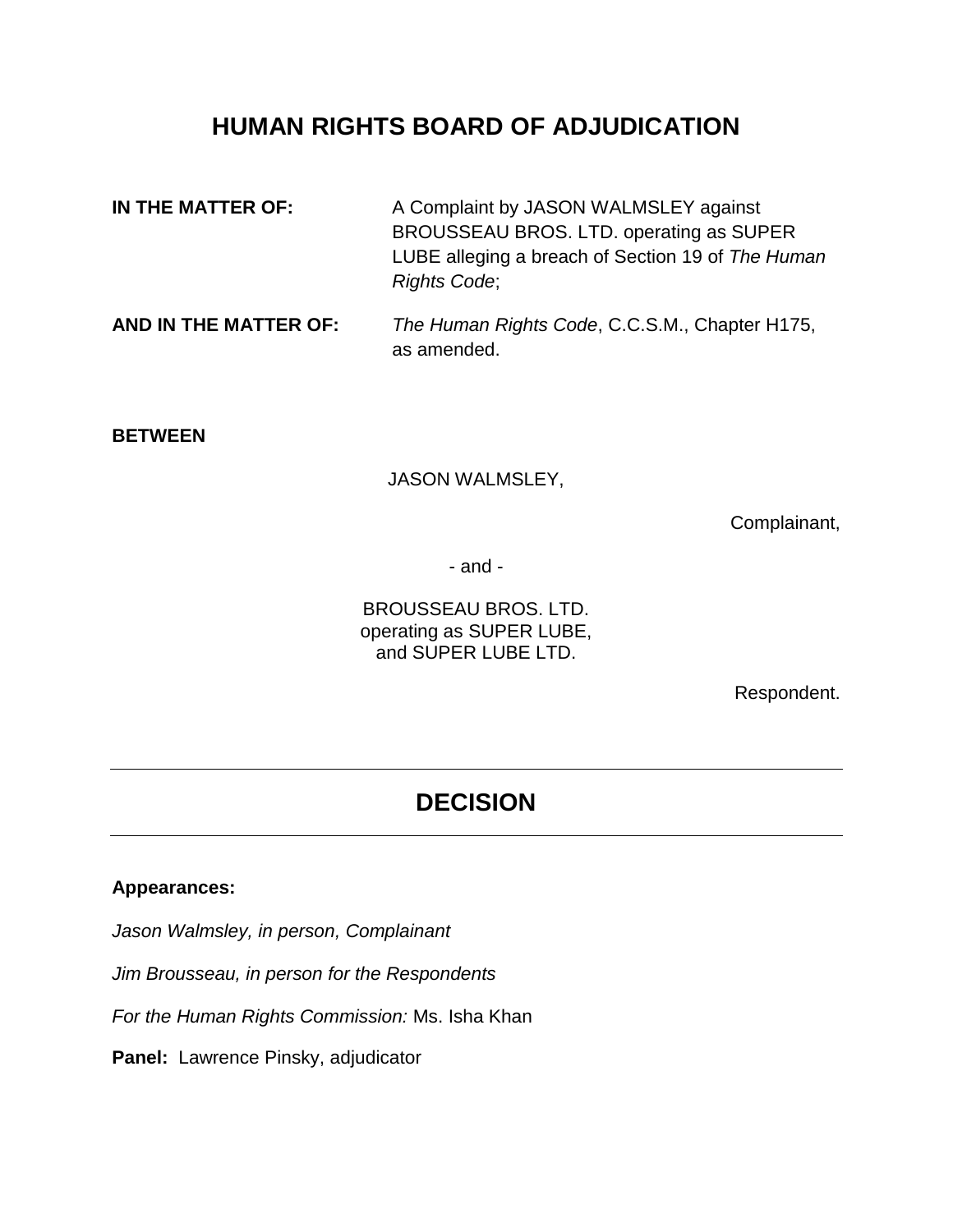# **HUMAN RIGHTS BOARD OF ADJUDICATION**

| IN THE MATTER OF: | A Complaint by JASON WALMSLEY against             |
|-------------------|---------------------------------------------------|
|                   | BROUSSEAU BROS. LTD. operating as SUPER           |
|                   | LUBE alleging a breach of Section 19 of The Human |
|                   | <b>Rights Code:</b>                               |
|                   |                                                   |

#### **AND IN THE MATTER OF:** *The Human Rights Code*, C.C.S.M., Chapter H175, as amended.

#### **BETWEEN**

JASON WALMSLEY,

Complainant,

- and -

BROUSSEAU BROS. LTD. operating as SUPER LUBE, and SUPER LUBE LTD.

Respondent.

# **DECISION**

### **Appearances:**

*Jason Walmsley, in person, Complainant*

*Jim Brousseau, in person for the Respondents*

*For the Human Rights Commission:* Ms. Isha Khan

**Panel:** Lawrence Pinsky, adjudicator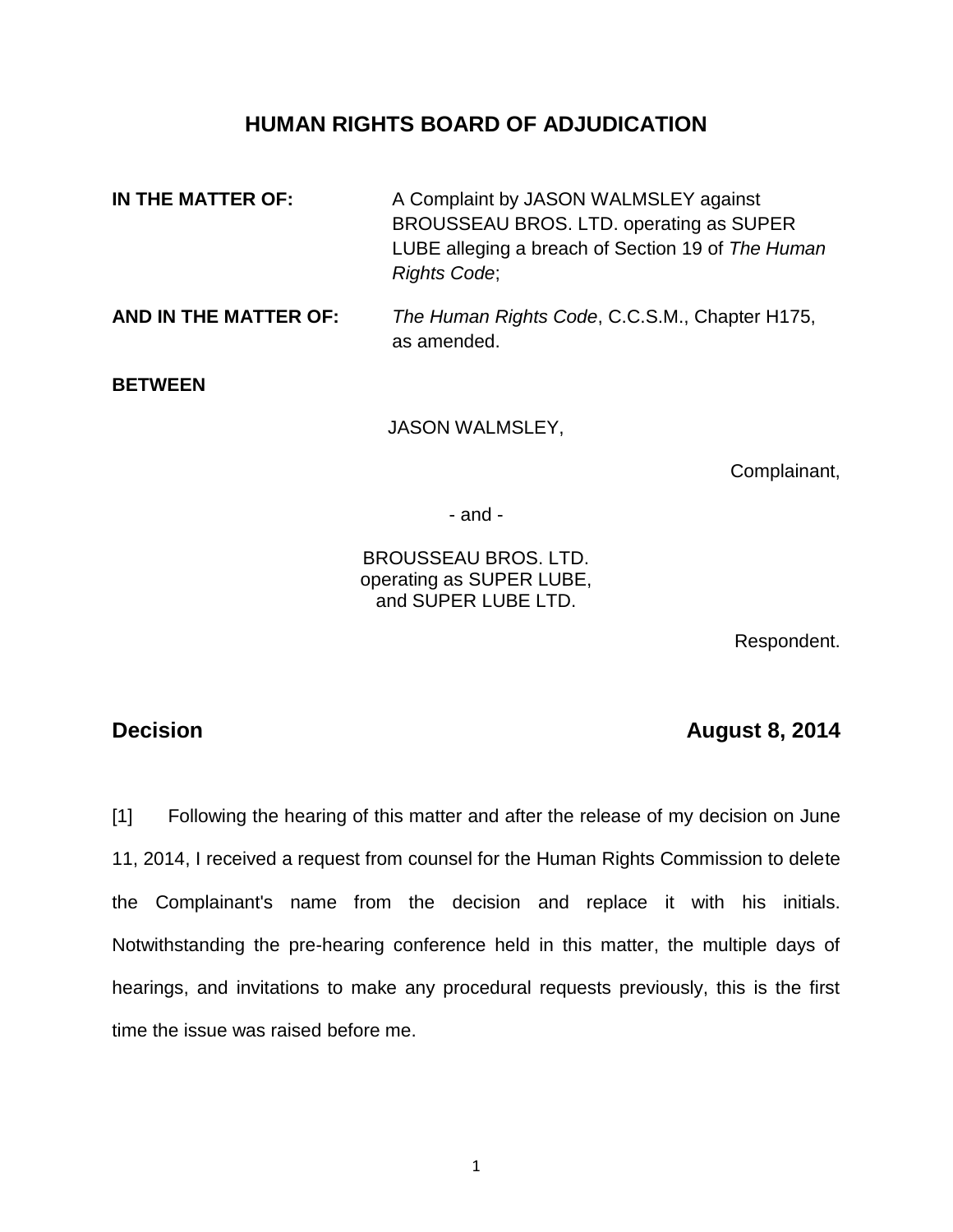## **HUMAN RIGHTS BOARD OF ADJUDICATION**

**IN THE MATTER OF:** A Complaint by JASON WALMSLEY against BROUSSEAU BROS. LTD. operating as SUPER LUBE alleging a breach of Section 19 of *The Human Rights Code*; **AND IN THE MATTER OF:** *The Human Rights Code*, C.C.S.M., Chapter H175, as amended. **BETWEEN** JASON WALMSLEY,

Complainant,

- and -

BROUSSEAU BROS. LTD. operating as SUPER LUBE, and SUPER LUBE LTD.

Respondent.

## **Decision August 8, 2014**

[1] Following the hearing of this matter and after the release of my decision on June 11, 2014, I received a request from counsel for the Human Rights Commission to delete the Complainant's name from the decision and replace it with his initials. Notwithstanding the pre-hearing conference held in this matter, the multiple days of hearings, and invitations to make any procedural requests previously, this is the first time the issue was raised before me.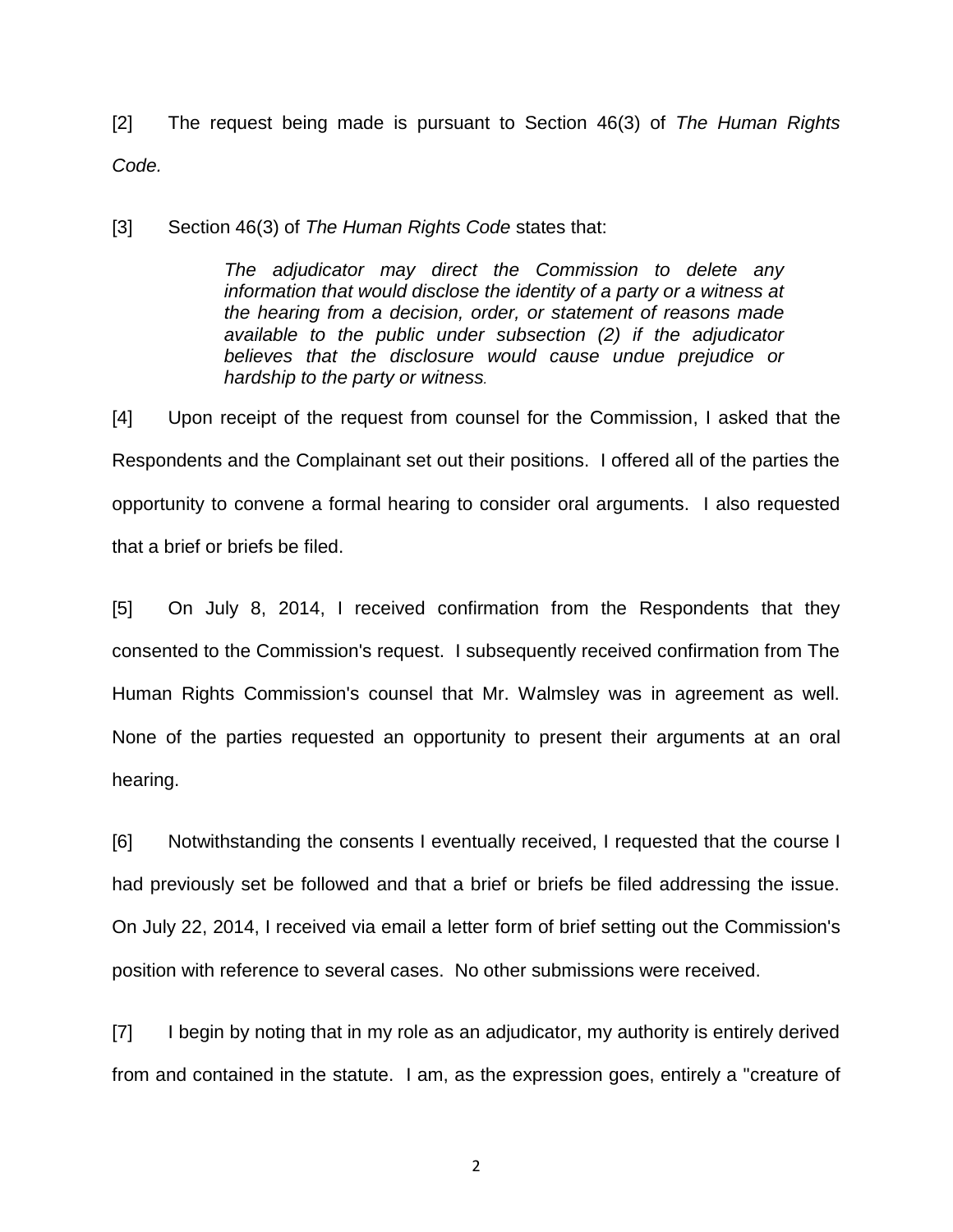[2] The request being made is pursuant to Section 46(3) of *The Human Rights Code.*

[3] Section 46(3) of *The Human Rights Code* states that:

*The adjudicator may direct the Commission to delete any information that would disclose the identity of a party or a witness at the hearing from a decision, order, or statement of reasons made available to the public under subsection (2) if the adjudicator believes that the disclosure would cause undue prejudice or hardship to the party or witness.*

[4] Upon receipt of the request from counsel for the Commission, I asked that the Respondents and the Complainant set out their positions. I offered all of the parties the opportunity to convene a formal hearing to consider oral arguments. I also requested that a brief or briefs be filed.

[5] On July 8, 2014, I received confirmation from the Respondents that they consented to the Commission's request. I subsequently received confirmation from The Human Rights Commission's counsel that Mr. Walmsley was in agreement as well. None of the parties requested an opportunity to present their arguments at an oral hearing.

[6] Notwithstanding the consents I eventually received, I requested that the course I had previously set be followed and that a brief or briefs be filed addressing the issue. On July 22, 2014, I received via email a letter form of brief setting out the Commission's position with reference to several cases. No other submissions were received.

[7] I begin by noting that in my role as an adjudicator, my authority is entirely derived from and contained in the statute. I am, as the expression goes, entirely a "creature of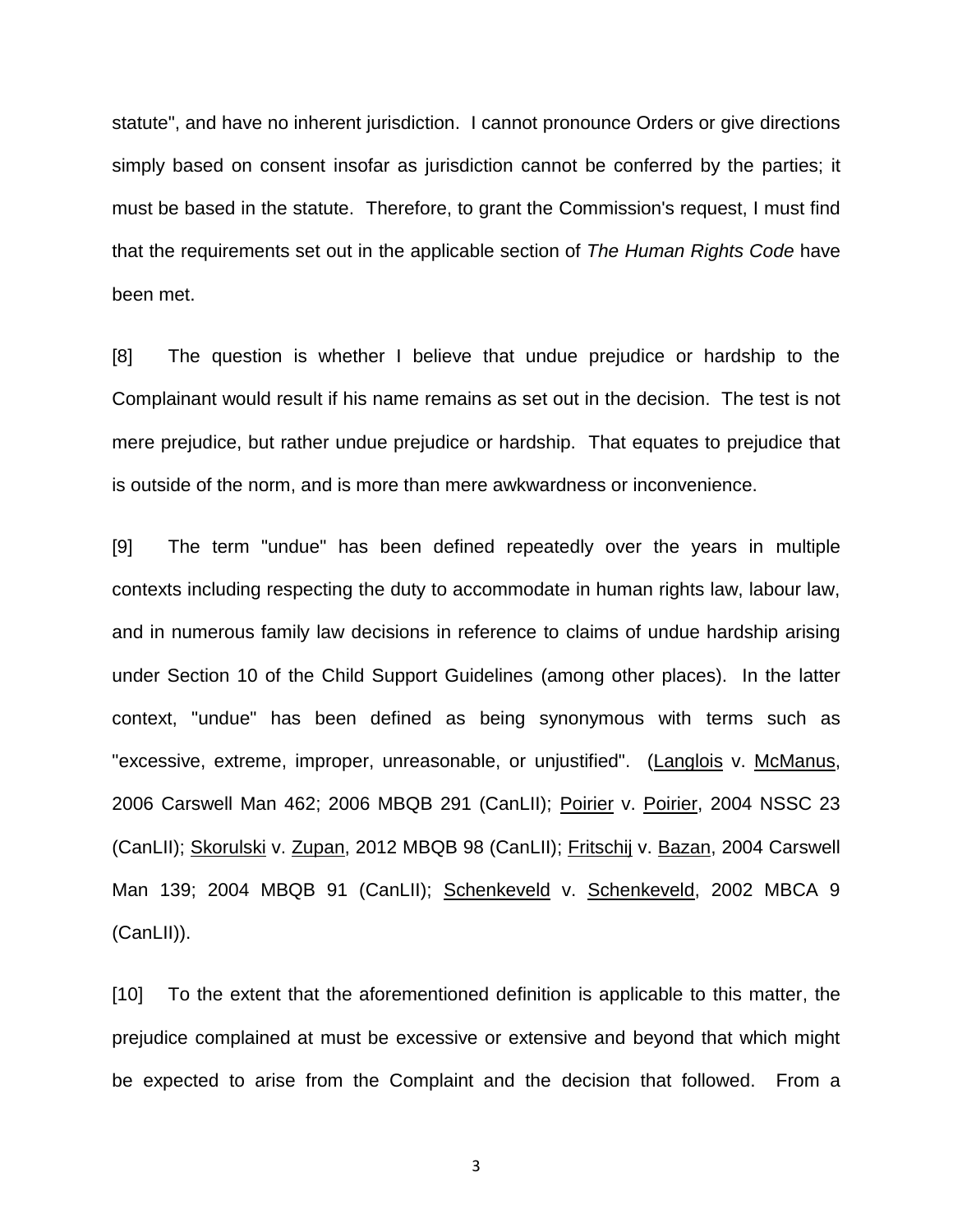statute", and have no inherent jurisdiction. I cannot pronounce Orders or give directions simply based on consent insofar as jurisdiction cannot be conferred by the parties; it must be based in the statute. Therefore, to grant the Commission's request, I must find that the requirements set out in the applicable section of *The Human Rights Code* have been met.

[8] The question is whether I believe that undue prejudice or hardship to the Complainant would result if his name remains as set out in the decision. The test is not mere prejudice, but rather undue prejudice or hardship. That equates to prejudice that is outside of the norm, and is more than mere awkwardness or inconvenience.

[9] The term "undue" has been defined repeatedly over the years in multiple contexts including respecting the duty to accommodate in human rights law, labour law, and in numerous family law decisions in reference to claims of undue hardship arising under Section 10 of the Child Support Guidelines (among other places). In the latter context, "undue" has been defined as being synonymous with terms such as "excessive, extreme, improper, unreasonable, or unjustified". (Langlois v. McManus, 2006 Carswell Man 462; 2006 MBQB 291 (CanLII); Poirier v. Poirier, 2004 NSSC 23 (CanLII); Skorulski v. Zupan, 2012 MBQB 98 (CanLII); Fritschij v. Bazan, 2004 Carswell Man 139; 2004 MBQB 91 (CanLII); Schenkeveld v. Schenkeveld, 2002 MBCA 9 (CanLII)).

[10] To the extent that the aforementioned definition is applicable to this matter, the prejudice complained at must be excessive or extensive and beyond that which might be expected to arise from the Complaint and the decision that followed. From a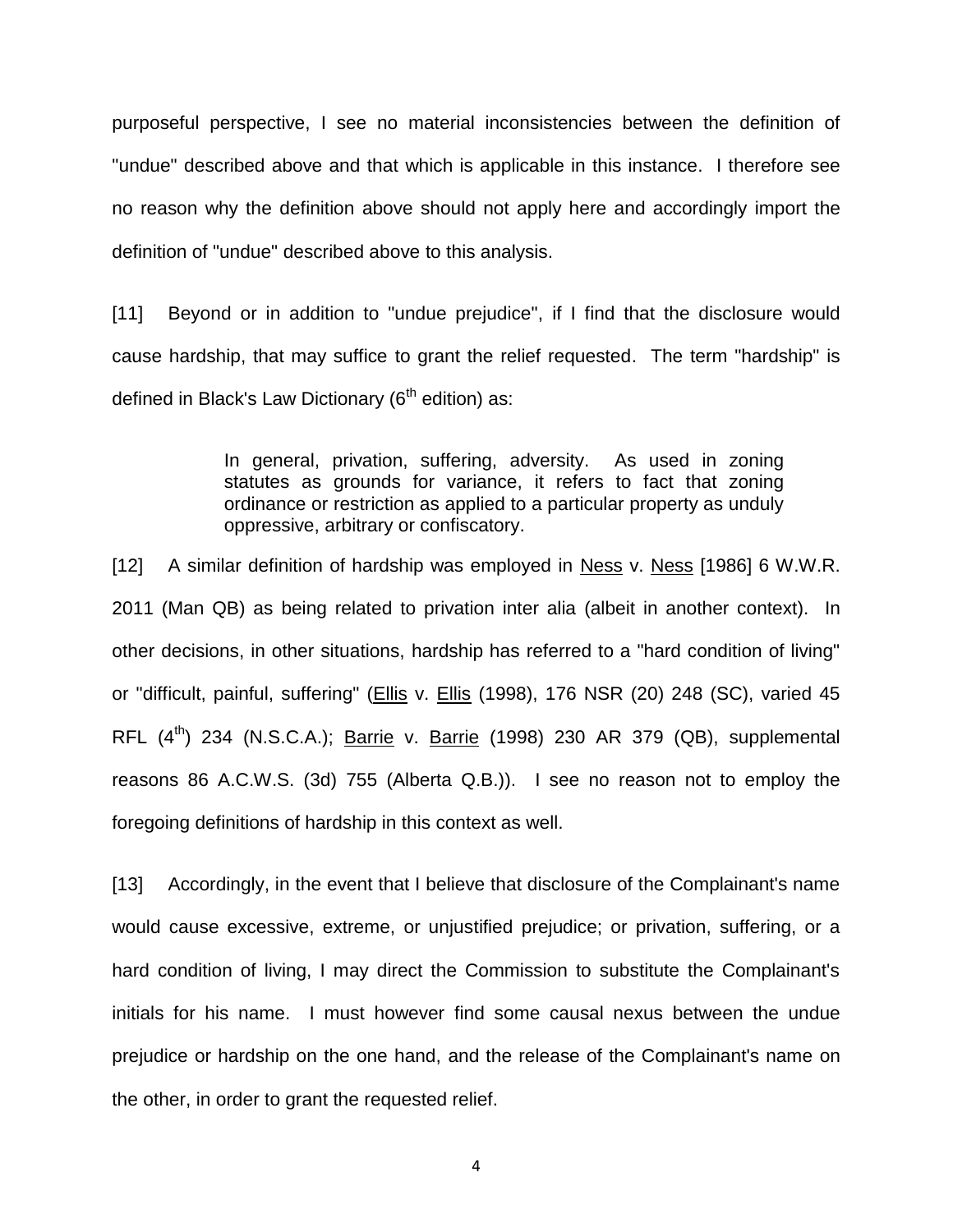purposeful perspective, I see no material inconsistencies between the definition of "undue" described above and that which is applicable in this instance. I therefore see no reason why the definition above should not apply here and accordingly import the definition of "undue" described above to this analysis.

[11] Beyond or in addition to "undue prejudice", if I find that the disclosure would cause hardship, that may suffice to grant the relief requested. The term "hardship" is defined in Black's Law Dictionary ( $6<sup>th</sup>$  edition) as:

> In general, privation, suffering, adversity. As used in zoning statutes as grounds for variance, it refers to fact that zoning ordinance or restriction as applied to a particular property as unduly oppressive, arbitrary or confiscatory.

[12] A similar definition of hardship was employed in Ness v. Ness [1986] 6 W.W.R. 2011 (Man QB) as being related to privation inter alia (albeit in another context). In other decisions, in other situations, hardship has referred to a "hard condition of living" or "difficult, painful, suffering" (Ellis v. Ellis (1998), 176 NSR (20) 248 (SC), varied 45 RFL  $(4<sup>th</sup>)$  234 (N.S.C.A.); Barrie v. Barrie (1998) 230 AR 379 (QB), supplemental reasons 86 A.C.W.S. (3d) 755 (Alberta Q.B.)). I see no reason not to employ the foregoing definitions of hardship in this context as well.

[13] Accordingly, in the event that I believe that disclosure of the Complainant's name would cause excessive, extreme, or unjustified prejudice; or privation, suffering, or a hard condition of living, I may direct the Commission to substitute the Complainant's initials for his name. I must however find some causal nexus between the undue prejudice or hardship on the one hand, and the release of the Complainant's name on the other, in order to grant the requested relief.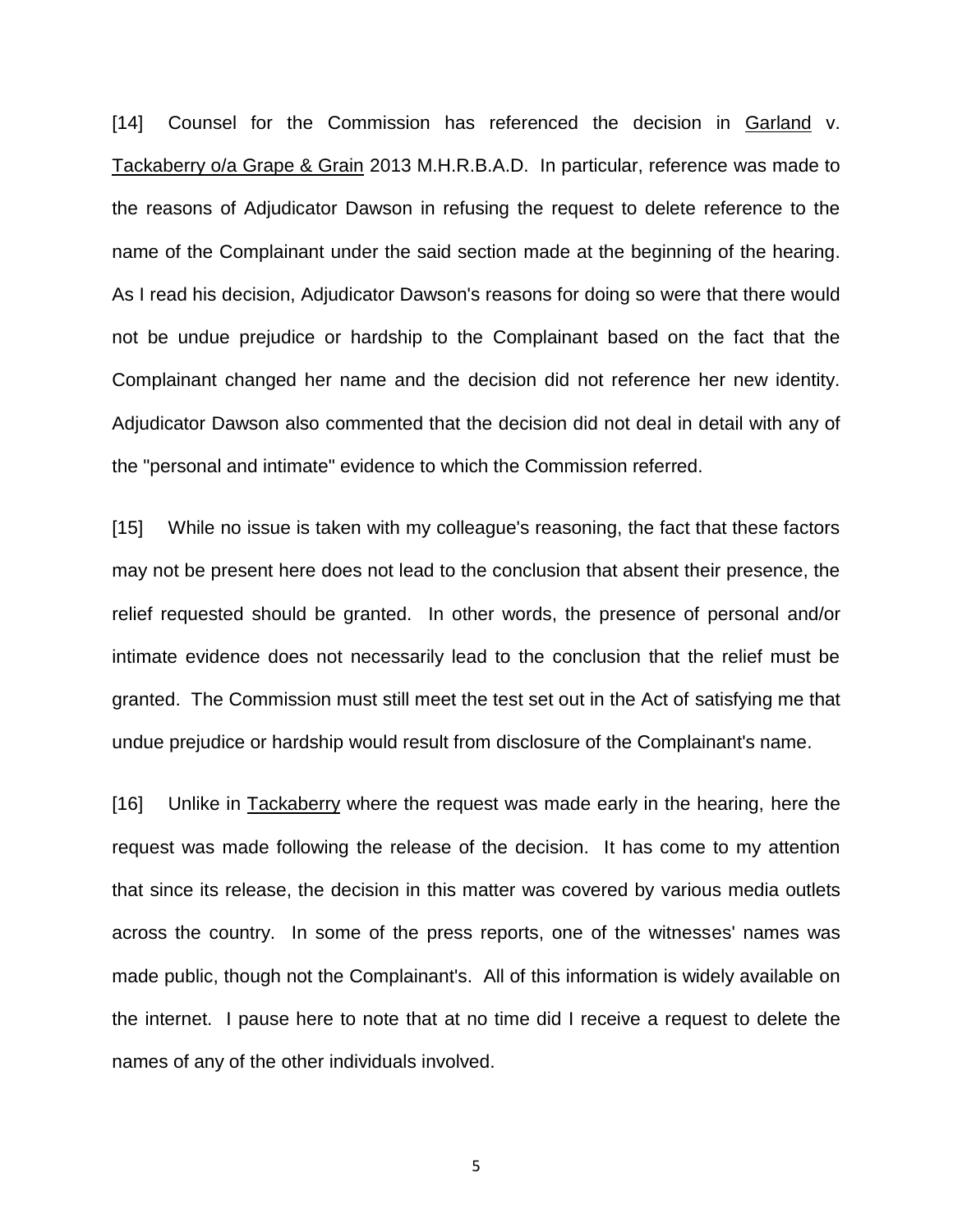[14] Counsel for the Commission has referenced the decision in Garland v. Tackaberry o/a Grape & Grain 2013 M.H.R.B.A.D. In particular, reference was made to the reasons of Adjudicator Dawson in refusing the request to delete reference to the name of the Complainant under the said section made at the beginning of the hearing. As I read his decision, Adjudicator Dawson's reasons for doing so were that there would not be undue prejudice or hardship to the Complainant based on the fact that the Complainant changed her name and the decision did not reference her new identity. Adjudicator Dawson also commented that the decision did not deal in detail with any of the "personal and intimate" evidence to which the Commission referred.

[15] While no issue is taken with my colleague's reasoning, the fact that these factors may not be present here does not lead to the conclusion that absent their presence, the relief requested should be granted. In other words, the presence of personal and/or intimate evidence does not necessarily lead to the conclusion that the relief must be granted. The Commission must still meet the test set out in the Act of satisfying me that undue prejudice or hardship would result from disclosure of the Complainant's name.

[16] Unlike in Tackaberry where the request was made early in the hearing, here the request was made following the release of the decision. It has come to my attention that since its release, the decision in this matter was covered by various media outlets across the country. In some of the press reports, one of the witnesses' names was made public, though not the Complainant's. All of this information is widely available on the internet. I pause here to note that at no time did I receive a request to delete the names of any of the other individuals involved.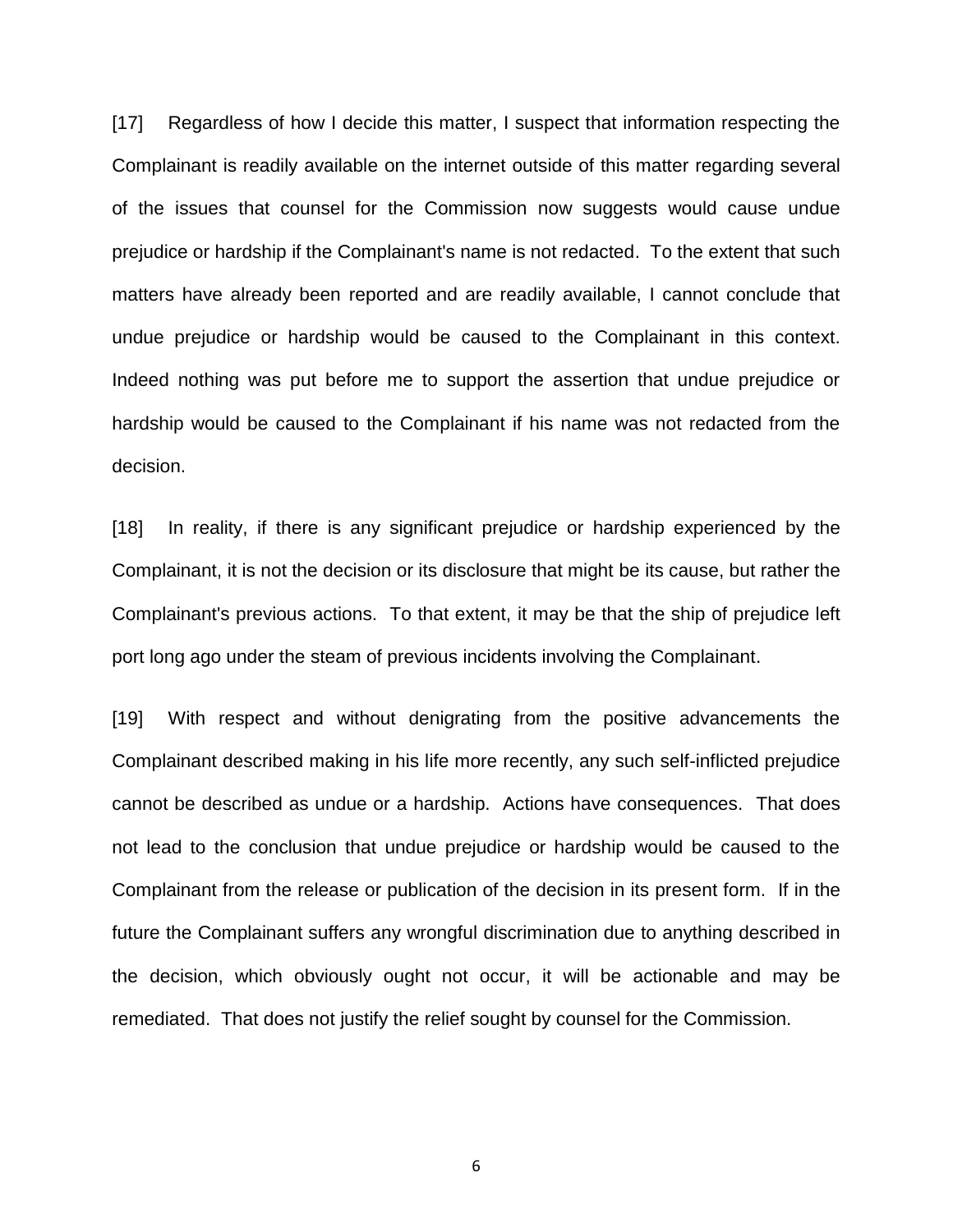[17] Regardless of how I decide this matter, I suspect that information respecting the Complainant is readily available on the internet outside of this matter regarding several of the issues that counsel for the Commission now suggests would cause undue prejudice or hardship if the Complainant's name is not redacted. To the extent that such matters have already been reported and are readily available, I cannot conclude that undue prejudice or hardship would be caused to the Complainant in this context. Indeed nothing was put before me to support the assertion that undue prejudice or hardship would be caused to the Complainant if his name was not redacted from the decision.

[18] In reality, if there is any significant prejudice or hardship experienced by the Complainant, it is not the decision or its disclosure that might be its cause, but rather the Complainant's previous actions. To that extent, it may be that the ship of prejudice left port long ago under the steam of previous incidents involving the Complainant.

[19] With respect and without denigrating from the positive advancements the Complainant described making in his life more recently, any such self-inflicted prejudice cannot be described as undue or a hardship. Actions have consequences. That does not lead to the conclusion that undue prejudice or hardship would be caused to the Complainant from the release or publication of the decision in its present form. If in the future the Complainant suffers any wrongful discrimination due to anything described in the decision, which obviously ought not occur, it will be actionable and may be remediated. That does not justify the relief sought by counsel for the Commission.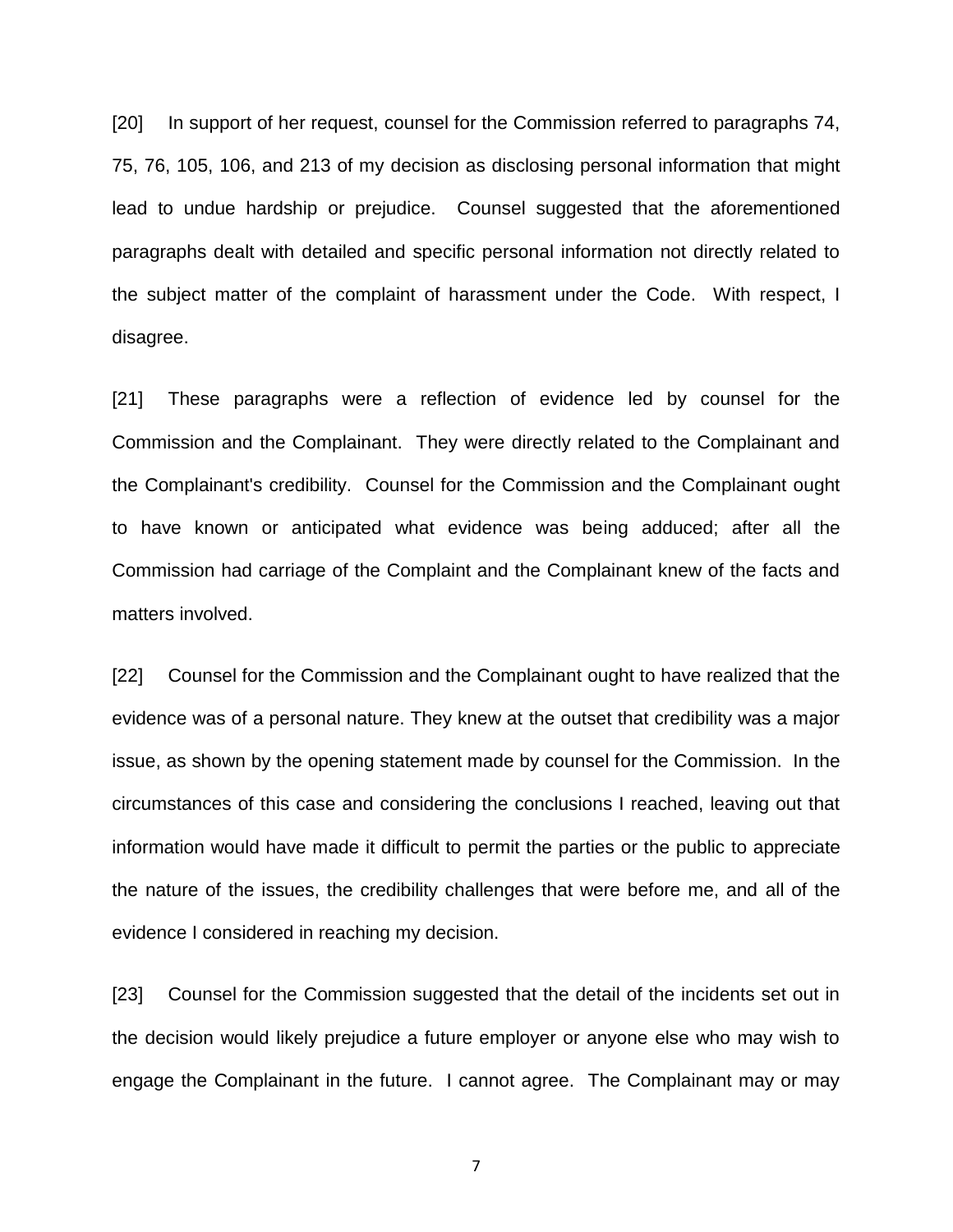[20] In support of her request, counsel for the Commission referred to paragraphs 74, 75, 76, 105, 106, and 213 of my decision as disclosing personal information that might lead to undue hardship or prejudice. Counsel suggested that the aforementioned paragraphs dealt with detailed and specific personal information not directly related to the subject matter of the complaint of harassment under the Code. With respect, I disagree.

[21] These paragraphs were a reflection of evidence led by counsel for the Commission and the Complainant. They were directly related to the Complainant and the Complainant's credibility. Counsel for the Commission and the Complainant ought to have known or anticipated what evidence was being adduced; after all the Commission had carriage of the Complaint and the Complainant knew of the facts and matters involved.

[22] Counsel for the Commission and the Complainant ought to have realized that the evidence was of a personal nature. They knew at the outset that credibility was a major issue, as shown by the opening statement made by counsel for the Commission. In the circumstances of this case and considering the conclusions I reached, leaving out that information would have made it difficult to permit the parties or the public to appreciate the nature of the issues, the credibility challenges that were before me, and all of the evidence I considered in reaching my decision.

[23] Counsel for the Commission suggested that the detail of the incidents set out in the decision would likely prejudice a future employer or anyone else who may wish to engage the Complainant in the future. I cannot agree. The Complainant may or may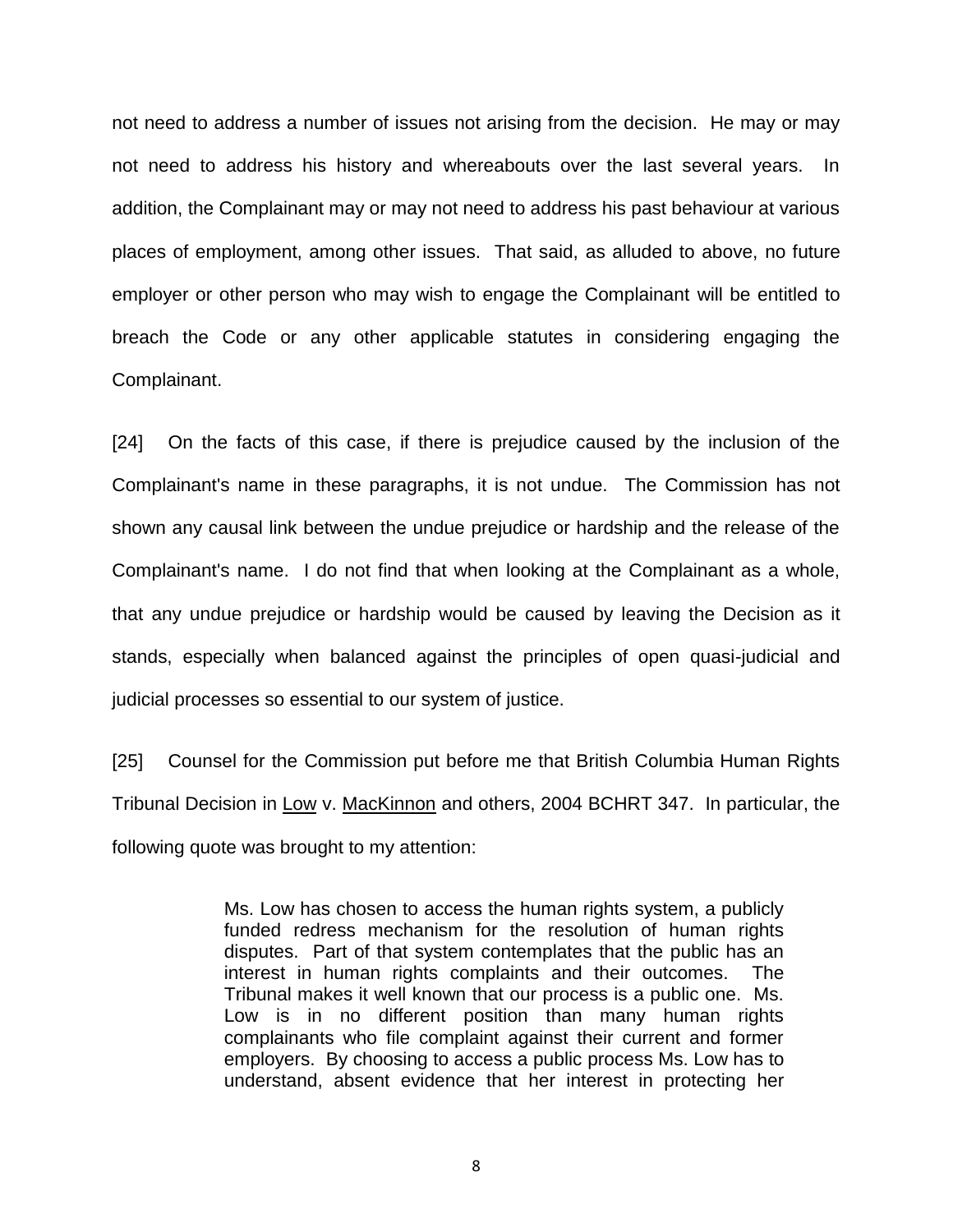not need to address a number of issues not arising from the decision. He may or may not need to address his history and whereabouts over the last several years. In addition, the Complainant may or may not need to address his past behaviour at various places of employment, among other issues. That said, as alluded to above, no future employer or other person who may wish to engage the Complainant will be entitled to breach the Code or any other applicable statutes in considering engaging the Complainant.

[24] On the facts of this case, if there is prejudice caused by the inclusion of the Complainant's name in these paragraphs, it is not undue. The Commission has not shown any causal link between the undue prejudice or hardship and the release of the Complainant's name. I do not find that when looking at the Complainant as a whole, that any undue prejudice or hardship would be caused by leaving the Decision as it stands, especially when balanced against the principles of open quasi-judicial and judicial processes so essential to our system of justice.

[25] Counsel for the Commission put before me that British Columbia Human Rights Tribunal Decision in Low v. MacKinnon and others, 2004 BCHRT 347. In particular, the following quote was brought to my attention:

> Ms. Low has chosen to access the human rights system, a publicly funded redress mechanism for the resolution of human rights disputes. Part of that system contemplates that the public has an interest in human rights complaints and their outcomes. The Tribunal makes it well known that our process is a public one. Ms. Low is in no different position than many human rights complainants who file complaint against their current and former employers. By choosing to access a public process Ms. Low has to understand, absent evidence that her interest in protecting her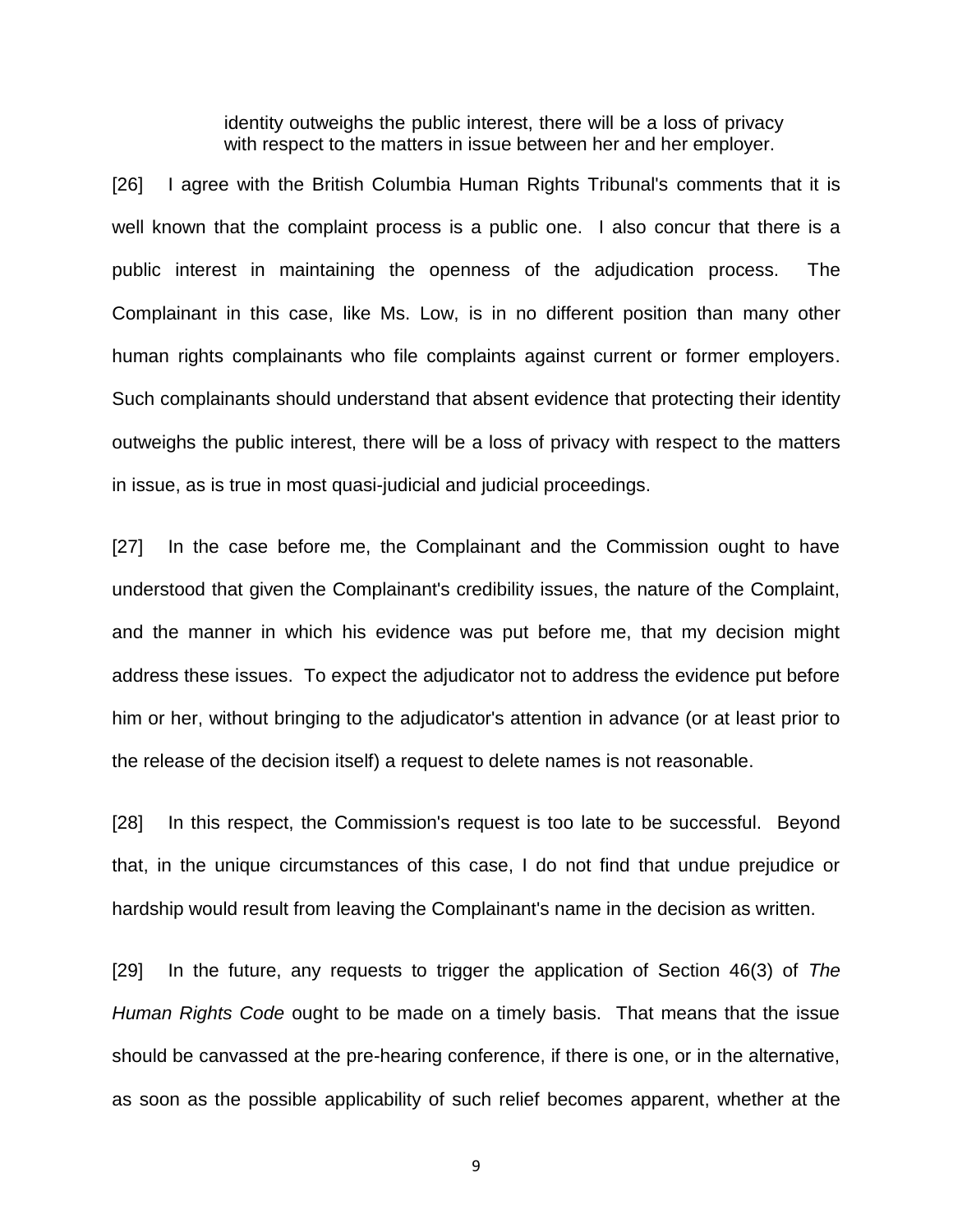identity outweighs the public interest, there will be a loss of privacy with respect to the matters in issue between her and her employer.

[26] I agree with the British Columbia Human Rights Tribunal's comments that it is well known that the complaint process is a public one. I also concur that there is a public interest in maintaining the openness of the adjudication process. The Complainant in this case, like Ms. Low, is in no different position than many other human rights complainants who file complaints against current or former employers. Such complainants should understand that absent evidence that protecting their identity outweighs the public interest, there will be a loss of privacy with respect to the matters in issue, as is true in most quasi-judicial and judicial proceedings.

[27] In the case before me, the Complainant and the Commission ought to have understood that given the Complainant's credibility issues, the nature of the Complaint, and the manner in which his evidence was put before me, that my decision might address these issues. To expect the adjudicator not to address the evidence put before him or her, without bringing to the adjudicator's attention in advance (or at least prior to the release of the decision itself) a request to delete names is not reasonable.

[28] In this respect, the Commission's request is too late to be successful. Beyond that, in the unique circumstances of this case, I do not find that undue prejudice or hardship would result from leaving the Complainant's name in the decision as written.

[29] In the future, any requests to trigger the application of Section 46(3) of *The Human Rights Code* ought to be made on a timely basis. That means that the issue should be canvassed at the pre-hearing conference, if there is one, or in the alternative, as soon as the possible applicability of such relief becomes apparent, whether at the